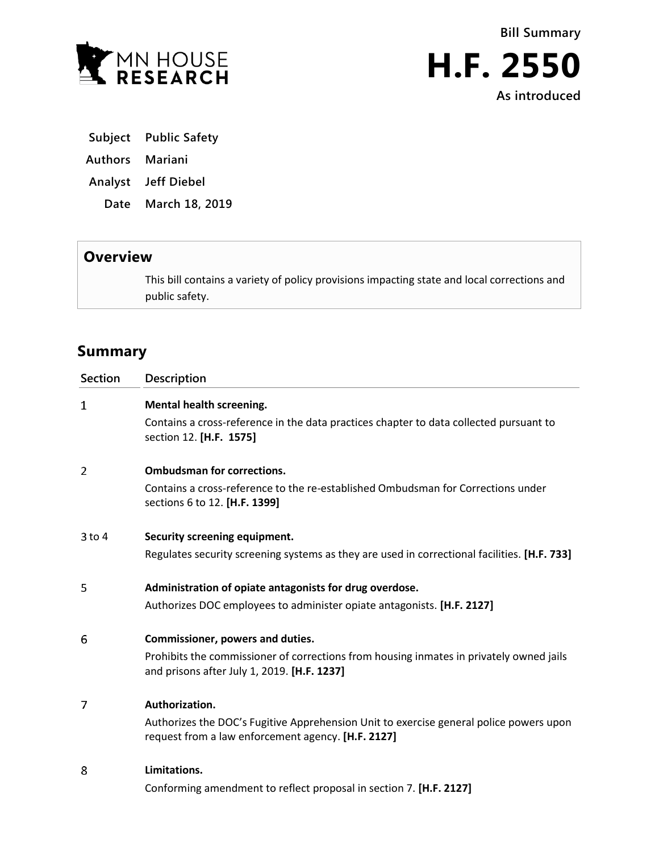



**As introduced**

- **Subject Public Safety**
- **Authors Mariani**
- **Analyst Jeff Diebel**
	- **Date March 18, 2019**

## **Overview**

This bill contains a variety of policy provisions impacting state and local corrections and public safety.

# **Summary**

| <b>Section</b> | Description                                                                                                                                  |
|----------------|----------------------------------------------------------------------------------------------------------------------------------------------|
| 1              | Mental health screening.                                                                                                                     |
|                | Contains a cross-reference in the data practices chapter to data collected pursuant to<br>section 12. [H.F. 1575]                            |
| 2              | <b>Ombudsman for corrections.</b>                                                                                                            |
|                | Contains a cross-reference to the re-established Ombudsman for Corrections under<br>sections 6 to 12. [H.F. 1399]                            |
| $3$ to $4$     | Security screening equipment.                                                                                                                |
|                | Regulates security screening systems as they are used in correctional facilities. [H.F. 733]                                                 |
| 5              | Administration of opiate antagonists for drug overdose.                                                                                      |
|                | Authorizes DOC employees to administer opiate antagonists. [H.F. 2127]                                                                       |
| 6              | Commissioner, powers and duties.                                                                                                             |
|                | Prohibits the commissioner of corrections from housing inmates in privately owned jails<br>and prisons after July 1, 2019. [H.F. 1237]       |
| 7              | Authorization.                                                                                                                               |
|                | Authorizes the DOC's Fugitive Apprehension Unit to exercise general police powers upon<br>request from a law enforcement agency. [H.F. 2127] |
| 8              | Limitations.                                                                                                                                 |
|                | Conforming amendment to reflect proposal in section 7. [H.F. 2127]                                                                           |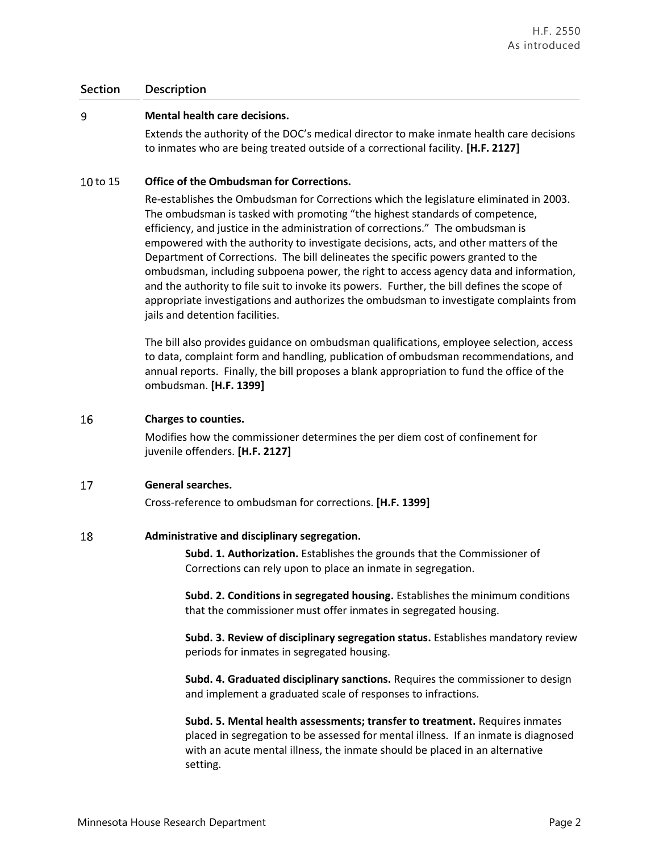### 9 **Mental health care decisions.**

Extends the authority of the DOC's medical director to make inmate health care decisions to inmates who are being treated outside of a correctional facility. **[H.F. 2127]**

### 10 to 15 **Office of the Ombudsman for Corrections.**

Re-establishes the Ombudsman for Corrections which the legislature eliminated in 2003. The ombudsman is tasked with promoting "the highest standards of competence, efficiency, and justice in the administration of corrections." The ombudsman is empowered with the authority to investigate decisions, acts, and other matters of the Department of Corrections. The bill delineates the specific powers granted to the ombudsman, including subpoena power, the right to access agency data and information, and the authority to file suit to invoke its powers. Further, the bill defines the scope of appropriate investigations and authorizes the ombudsman to investigate complaints from jails and detention facilities.

The bill also provides guidance on ombudsman qualifications, employee selection, access to data, complaint form and handling, publication of ombudsman recommendations, and annual reports. Finally, the bill proposes a blank appropriation to fund the office of the ombudsman. **[H.F. 1399]**

### 16 **Charges to counties.**

Modifies how the commissioner determines the per diem cost of confinement for juvenile offenders. **[H.F. 2127]**

#### 17 **General searches.**

Cross-reference to ombudsman for corrections. **[H.F. 1399]**

### 18 **Administrative and disciplinary segregation.**

**Subd. 1. Authorization.** Establishes the grounds that the Commissioner of Corrections can rely upon to place an inmate in segregation.

**Subd. 2. Conditions in segregated housing.** Establishes the minimum conditions that the commissioner must offer inmates in segregated housing.

**Subd. 3. Review of disciplinary segregation status.** Establishes mandatory review periods for inmates in segregated housing.

**Subd. 4. Graduated disciplinary sanctions.** Requires the commissioner to design and implement a graduated scale of responses to infractions.

**Subd. 5. Mental health assessments; transfer to treatment.** Requires inmates placed in segregation to be assessed for mental illness. If an inmate is diagnosed with an acute mental illness, the inmate should be placed in an alternative setting.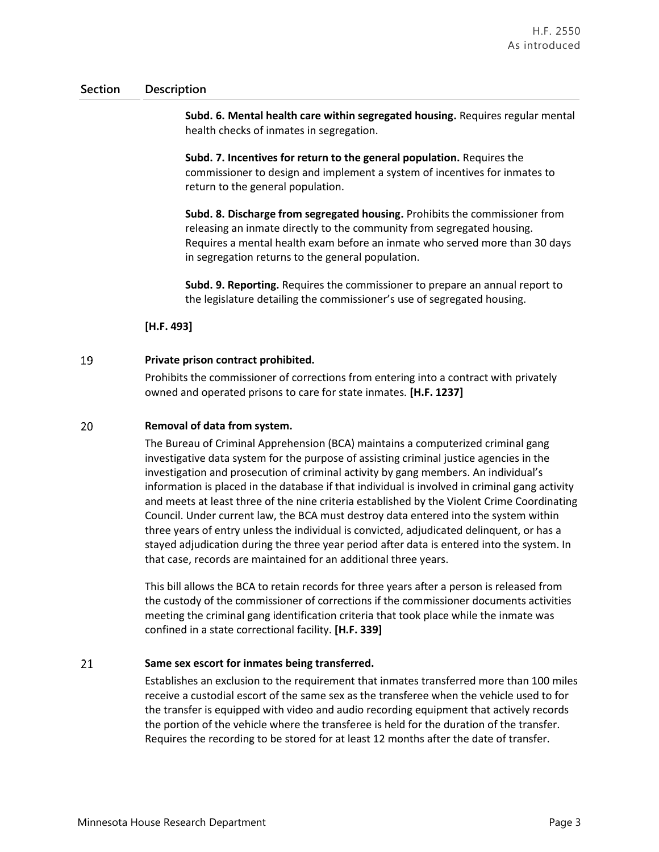**Subd. 6. Mental health care within segregated housing.** Requires regular mental health checks of inmates in segregation.

**Subd. 7. Incentives for return to the general population.** Requires the commissioner to design and implement a system of incentives for inmates to return to the general population.

**Subd. 8. Discharge from segregated housing.** Prohibits the commissioner from releasing an inmate directly to the community from segregated housing. Requires a mental health exam before an inmate who served more than 30 days in segregation returns to the general population.

**Subd. 9. Reporting.** Requires the commissioner to prepare an annual report to the legislature detailing the commissioner's use of segregated housing.

**[H.F. 493]**

### 19 **Private prison contract prohibited.**

Prohibits the commissioner of corrections from entering into a contract with privately owned and operated prisons to care for state inmates. **[H.F. 1237]**

### 20 **Removal of data from system.**

The Bureau of Criminal Apprehension (BCA) maintains a computerized criminal gang investigative data system for the purpose of assisting criminal justice agencies in the investigation and prosecution of criminal activity by gang members. An individual's information is placed in the database if that individual is involved in criminal gang activity and meets at least three of the nine criteria established by the Violent Crime Coordinating Council. Under current law, the BCA must destroy data entered into the system within three years of entry unless the individual is convicted, adjudicated delinquent, or has a stayed adjudication during the three year period after data is entered into the system. In that case, records are maintained for an additional three years.

This bill allows the BCA to retain records for three years after a person is released from the custody of the commissioner of corrections if the commissioner documents activities meeting the criminal gang identification criteria that took place while the inmate was confined in a state correctional facility. **[H.F. 339]**

### 21 **Same sex escort for inmates being transferred.**

Establishes an exclusion to the requirement that inmates transferred more than 100 miles receive a custodial escort of the same sex as the transferee when the vehicle used to for the transfer is equipped with video and audio recording equipment that actively records the portion of the vehicle where the transferee is held for the duration of the transfer. Requires the recording to be stored for at least 12 months after the date of transfer.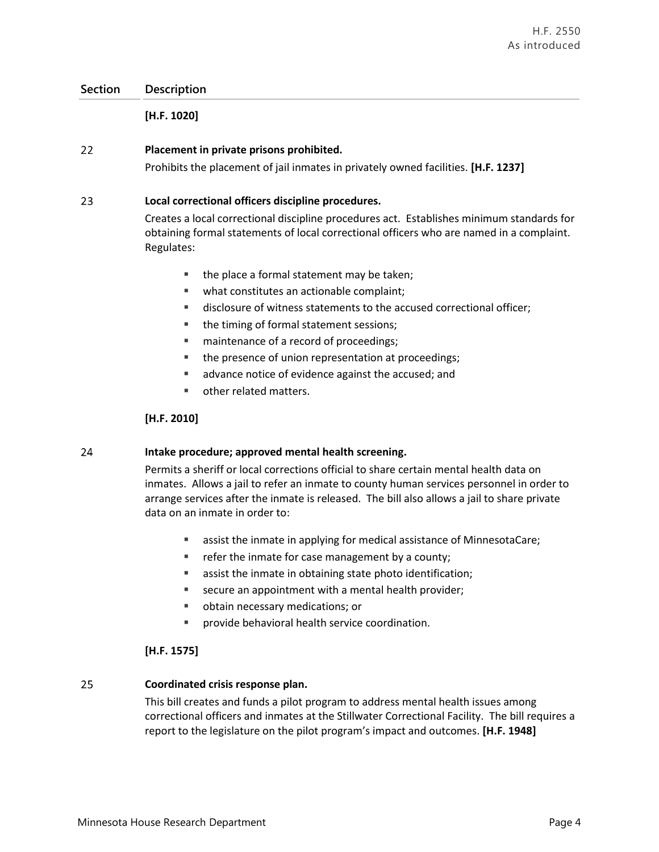**[H.F. 1020]**

### 22 **Placement in private prisons prohibited.**

Prohibits the placement of jail inmates in privately owned facilities. **[H.F. 1237]**

### 23 **Local correctional officers discipline procedures.**

Creates a local correctional discipline procedures act. Establishes minimum standards for obtaining formal statements of local correctional officers who are named in a complaint. Regulates:

- $\blacksquare$  the place a formal statement may be taken;
- what constitutes an actionable complaint;
- disclosure of witness statements to the accused correctional officer;
- the timing of formal statement sessions;
- maintenance of a record of proceedings;
- the presence of union representation at proceedings;
- **a** advance notice of evidence against the accused; and
- **other related matters.**

### **[H.F. 2010]**

### 24 **Intake procedure; approved mental health screening.**

Permits a sheriff or local corrections official to share certain mental health data on inmates. Allows a jail to refer an inmate to county human services personnel in order to arrange services after the inmate is released. The bill also allows a jail to share private data on an inmate in order to:

- assist the inmate in applying for medical assistance of MinnesotaCare;
- **Fig. 2** refer the inmate for case management by a county;
- assist the inmate in obtaining state photo identification;
- secure an appointment with a mental health provider;
- obtain necessary medications; or
- provide behavioral health service coordination.

### **[H.F. 1575]**

### 25 **Coordinated crisis response plan.**

This bill creates and funds a pilot program to address mental health issues among correctional officers and inmates at the Stillwater Correctional Facility. The bill requires a report to the legislature on the pilot program's impact and outcomes. **[H.F. 1948]**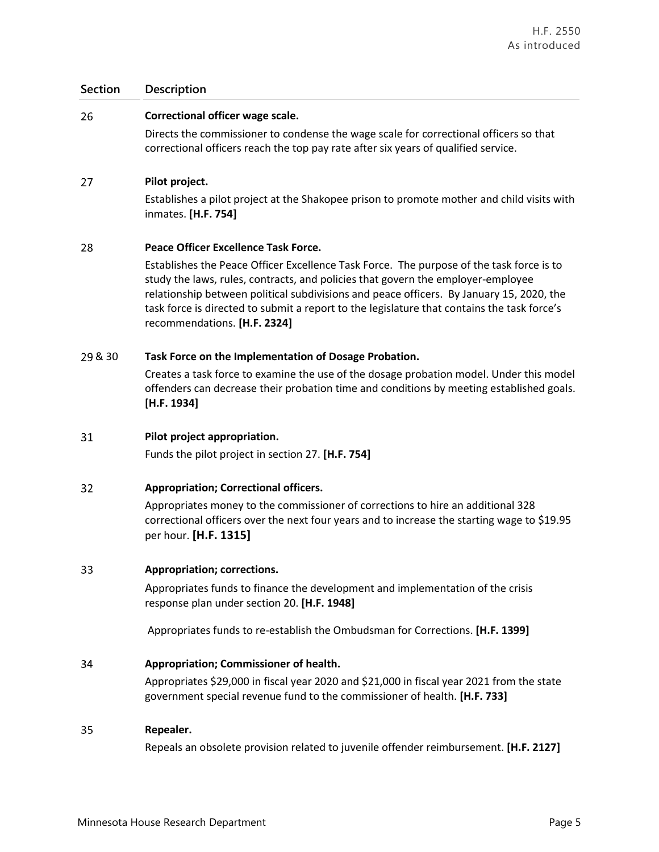#### 26 **Correctional officer wage scale.**

Directs the commissioner to condense the wage scale for correctional officers so that correctional officers reach the top pay rate after six years of qualified service.

#### 27 **Pilot project.**

Establishes a pilot project at the Shakopee prison to promote mother and child visits with inmates. **[H.F. 754]**

#### 28 **Peace Officer Excellence Task Force.**

Establishes the Peace Officer Excellence Task Force. The purpose of the task force is to study the laws, rules, contracts, and policies that govern the employer-employee relationship between political subdivisions and peace officers. By January 15, 2020, the task force is directed to submit a report to the legislature that contains the task force's recommendations. **[H.F. 2324]**

### & 30 **Task Force on the Implementation of Dosage Probation.**

Creates a task force to examine the use of the dosage probation model. Under this model offenders can decrease their probation time and conditions by meeting established goals. **[H.F. 1934]**

#### 31 **Pilot project appropriation.**

Funds the pilot project in section 27. **[H.F. 754]**

### 32 **Appropriation; Correctional officers.**

Appropriates money to the commissioner of corrections to hire an additional 328 correctional officers over the next four years and to increase the starting wage to \$19.95 per hour. **[H.F. 1315]**

#### 33 **Appropriation; corrections.**

Appropriates funds to finance the development and implementation of the crisis response plan under section 20. **[H.F. 1948]**

Appropriates funds to re-establish the Ombudsman for Corrections. **[H.F. 1399]**

#### 34 **Appropriation; Commissioner of health.**

Appropriates \$29,000 in fiscal year 2020 and \$21,000 in fiscal year 2021 from the state government special revenue fund to the commissioner of health. **[H.F. 733]**

#### 35 **Repealer.**

Repeals an obsolete provision related to juvenile offender reimbursement. **[H.F. 2127]**